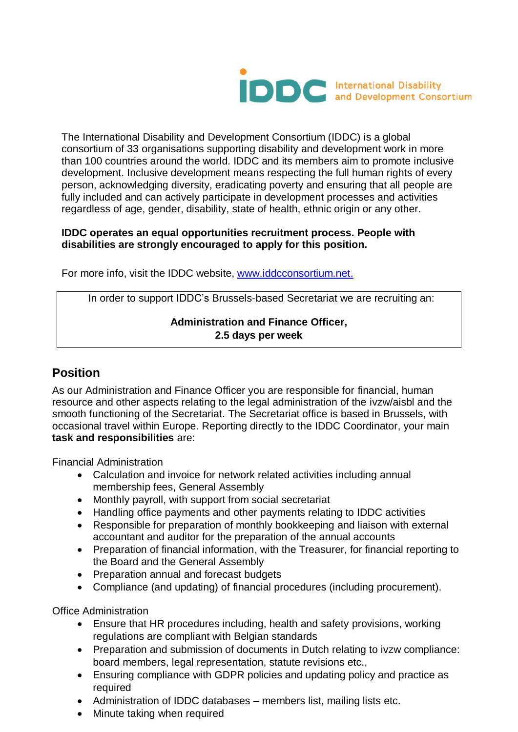

The International Disability and Development Consortium (IDDC) is a global consortium of 33 organisations supporting disability and development work in more than 100 countries around the world. IDDC and its members aim to promote inclusive development. Inclusive development means respecting the full human rights of every person, acknowledging diversity, eradicating poverty and ensuring that all people are fully included and can actively participate in development processes and activities regardless of age, gender, disability, state of health, ethnic origin or any other.

### **IDDC operates an equal opportunities recruitment process. People with disabilities are strongly encouraged to apply for this position.**

For more info, visit the IDDC website, [www.iddcconsortium.net.](http://www.iddcconsortium.net/)

In order to support IDDC's Brussels-based Secretariat we are recruiting an:

## **Administration and Finance Officer, 2.5 days per week**

# **Position**

As our Administration and Finance Officer you are responsible for financial, human resource and other aspects relating to the legal administration of the ivzw/aisbl and the smooth functioning of the Secretariat. The Secretariat office is based in Brussels, with occasional travel within Europe. Reporting directly to the IDDC Coordinator, your main **task and responsibilities** are:

Financial Administration

- Calculation and invoice for network related activities including annual membership fees, General Assembly
- Monthly payroll, with support from social secretariat
- Handling office payments and other payments relating to IDDC activities
- Responsible for preparation of monthly bookkeeping and liaison with external accountant and auditor for the preparation of the annual accounts
- Preparation of financial information, with the Treasurer, for financial reporting to the Board and the General Assembly
- Preparation annual and forecast budgets
- Compliance (and updating) of financial procedures (including procurement).

Office Administration

- Ensure that HR procedures including, health and safety provisions, working regulations are compliant with Belgian standards
- Preparation and submission of documents in Dutch relating to ivzw compliance: board members, legal representation, statute revisions etc.,
- Ensuring compliance with GDPR policies and updating policy and practice as required
- Administration of IDDC databases members list, mailing lists etc.
- Minute taking when required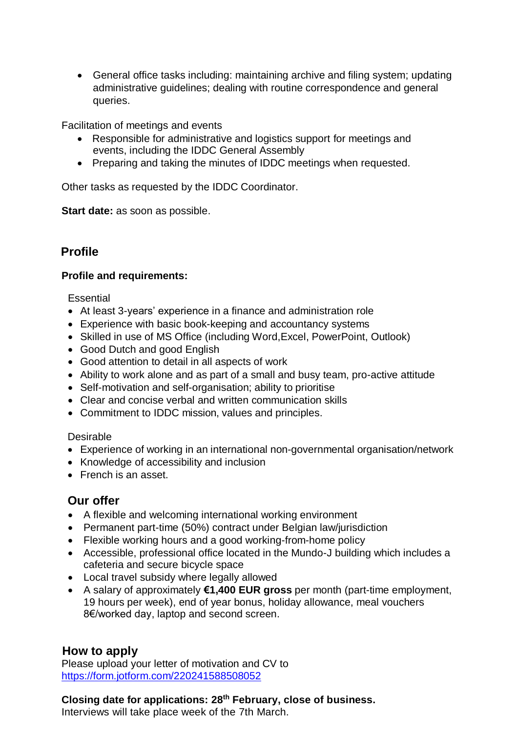General office tasks including: maintaining archive and filing system; updating administrative guidelines; dealing with routine correspondence and general queries.

Facilitation of meetings and events

- Responsible for administrative and logistics support for meetings and events, including the IDDC General Assembly
- Preparing and taking the minutes of IDDC meetings when requested.

Other tasks as requested by the IDDC Coordinator.

**Start date:** as soon as possible.

# **Profile**

#### **Profile and requirements:**

#### **Essential**

- At least 3-years' experience in a finance and administration role
- Experience with basic book-keeping and accountancy systems
- Skilled in use of MS Office (including Word,Excel, PowerPoint, Outlook)
- Good Dutch and good English
- Good attention to detail in all aspects of work
- Ability to work alone and as part of a small and busy team, pro-active attitude
- Self-motivation and self-organisation; ability to prioritise
- Clear and concise verbal and written communication skills
- Commitment to IDDC mission, values and principles.

#### Desirable

- Experience of working in an international non-governmental organisation/network
- Knowledge of accessibility and inclusion
- **French is an asset.**

## **Our offer**

- A flexible and welcoming international working environment
- Permanent part-time (50%) contract under Belgian law/jurisdiction
- Flexible working hours and a good working-from-home policy
- Accessible, professional office located in the Mundo-J building which includes a cafeteria and secure bicycle space
- Local travel subsidy where legally allowed
- A salary of approximately **€1,400 EUR gross** per month (part-time employment, 19 hours per week), end of year bonus, holiday allowance, meal vouchers 8€/worked day, laptop and second screen.

## **How to apply**

Please upload your letter of motivation and CV to <https://form.jotform.com/220241588508052>

## **Closing date for applications: 28th February, close of business.**

Interviews will take place week of the 7th March.